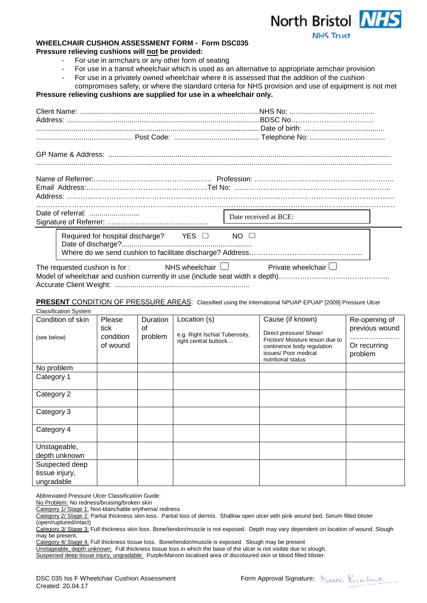



## **WHEELCHAIR CUSHION ASSESSMENT FORM - Form DSC035 Pressure relieving cushions will not be provided:**

- For use in armchairs or any other form of seating
- For use in a transit wheelchair which is used as an alternative to appropriate armchair provision
- For use in a privately owned wheelchair where it is assessed that the addition of the cushion
- compromises safety, or where the standard criteria for NHS provision and use of equipment is not met **Pressure relieving cushions are supplied for use in a wheelchair only.**

|  |                                                        | Date received at BCE:     |  |  |
|--|--------------------------------------------------------|---------------------------|--|--|
|  | Required for hospital discharge? $YES \square$         | $NO$ $\Box$               |  |  |
|  | NHS wheelchair $\Box$<br>The requested cushion is for: | Private wheelchair $\Box$ |  |  |

**PRESENT** CONDITION OF PRESSURE AREAS: Classified using the International NPUAP EPUAP [2009] Pressure Ulcer

| <b>Classification System</b> |           |                 |                                |                                                    |                         |
|------------------------------|-----------|-----------------|--------------------------------|----------------------------------------------------|-------------------------|
| Condition of skin            | Please    | <b>Duration</b> | Location (s)                   | Cause (if known)                                   | Re-opening of           |
|                              | tick      | οf              | e.g. Right Ischial Tuberosity, | Direct pressure/ Shear/                            | previous wound          |
| (see below)                  | condition | problem         | right central buttock          | Friction/ Moisture lesion due to                   |                         |
|                              | of wound  |                 |                                | continence body regulation<br>issues/ Poor medical | Or recurring<br>problem |
|                              |           |                 |                                | nutritional status                                 |                         |
| No problem                   |           |                 |                                |                                                    |                         |
| Category 1                   |           |                 |                                |                                                    |                         |
|                              |           |                 |                                |                                                    |                         |
| Category 2                   |           |                 |                                |                                                    |                         |
|                              |           |                 |                                |                                                    |                         |
| Category 3                   |           |                 |                                |                                                    |                         |
|                              |           |                 |                                |                                                    |                         |
| Category 4                   |           |                 |                                |                                                    |                         |
|                              |           |                 |                                |                                                    |                         |
| Unstageable,                 |           |                 |                                |                                                    |                         |
| depth unknown                |           |                 |                                |                                                    |                         |
| Suspected deep               |           |                 |                                |                                                    |                         |
| tissue injury,               |           |                 |                                |                                                    |                         |
| ungradable                   |           |                 |                                |                                                    |                         |

Abbreviated Pressure Ulcer Classification Guide:

No Problem: No redness/bruising/broken skin

Category 1/ Stage 1: Non-blanchable erythema/ redness

Category 2/ Stage 2: Partial thickness skin loss. Partial loss of dermis. Shallow open ulcer with pink wound bed. Serum filled blister (open/ruptured/intact)

Category 4/ Stage 4: Full thickness tissue loss. Bone/tendon/muscle is exposed. Slough may be present

Unstageable, depth unknown: Full thickness tissue loss in which the base of the ulcer is not visible due to slough.

Suspected deep tissue injury, ungradable: Purple/Maroon localised area of discoloured skin or blood filled blister.

Category 3/ Stage 3: Full thickness skin loss. Bone/tendon/muscle is not exposed. Depth may vary dependent on location of wound. Slough may be present.